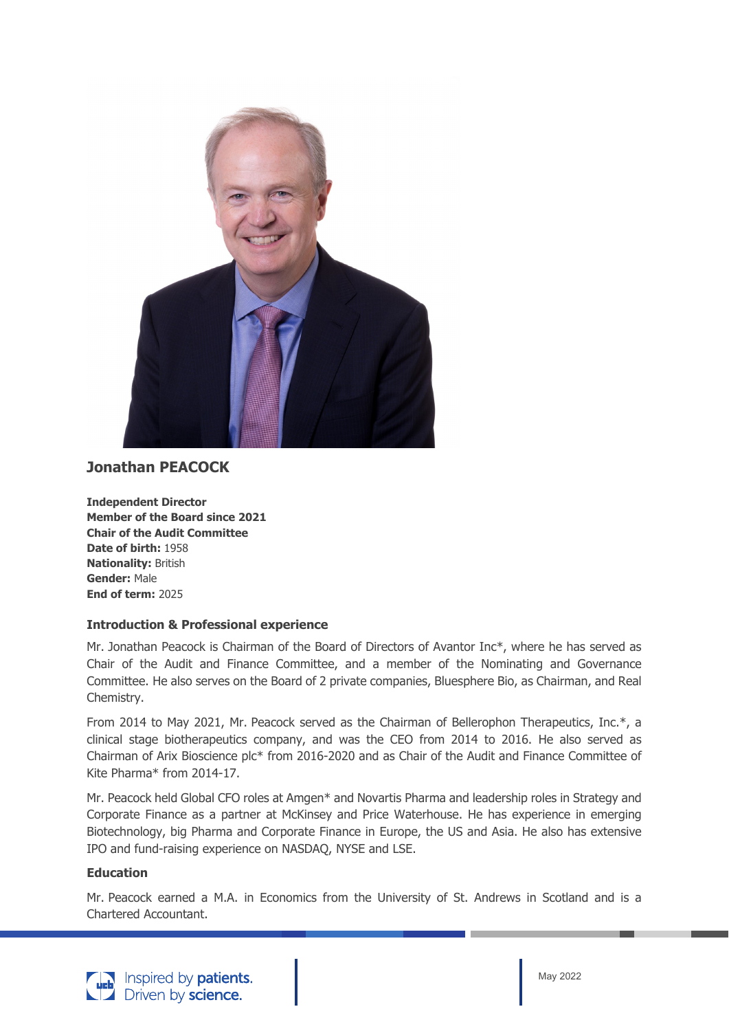

## **Jonathan PEACOCK**

**Independent Director Member of the Board since 2021 Chair of the Audit Committee Date of birth:** 1958 **Nationality:** British **Gender:** Male **End of term:** 2025

## **Introduction & Professional experience**

Mr. Jonathan Peacock is Chairman of the Board of Directors of Avantor Inc\*, where he has served as Chair of the Audit and Finance Committee, and a member of the Nominating and Governance Committee. He also serves on the Board of 2 private companies, Bluesphere Bio, as Chairman, and Real Chemistry.

From 2014 to May 2021, Mr. Peacock served as the Chairman of Bellerophon Therapeutics, Inc.\*, a clinical stage biotherapeutics company, and was the CEO from 2014 to 2016. He also served as Chairman of Arix Bioscience plc\* from 2016-2020 and as Chair of the Audit and Finance Committee of Kite Pharma\* from 2014-17.

Mr. Peacock held Global CFO roles at Amgen\* and Novartis Pharma and leadership roles in Strategy and Corporate Finance as a partner at McKinsey and Price Waterhouse. He has experience in emerging Biotechnology, big Pharma and Corporate Finance in Europe, the US and Asia. He also has extensive IPO and fund-raising experience on NASDAQ, NYSE and LSE.

## **Education**

Mr. Peacock earned a M.A. in Economics from the University of St. Andrews in Scotland and is a Chartered Accountant.